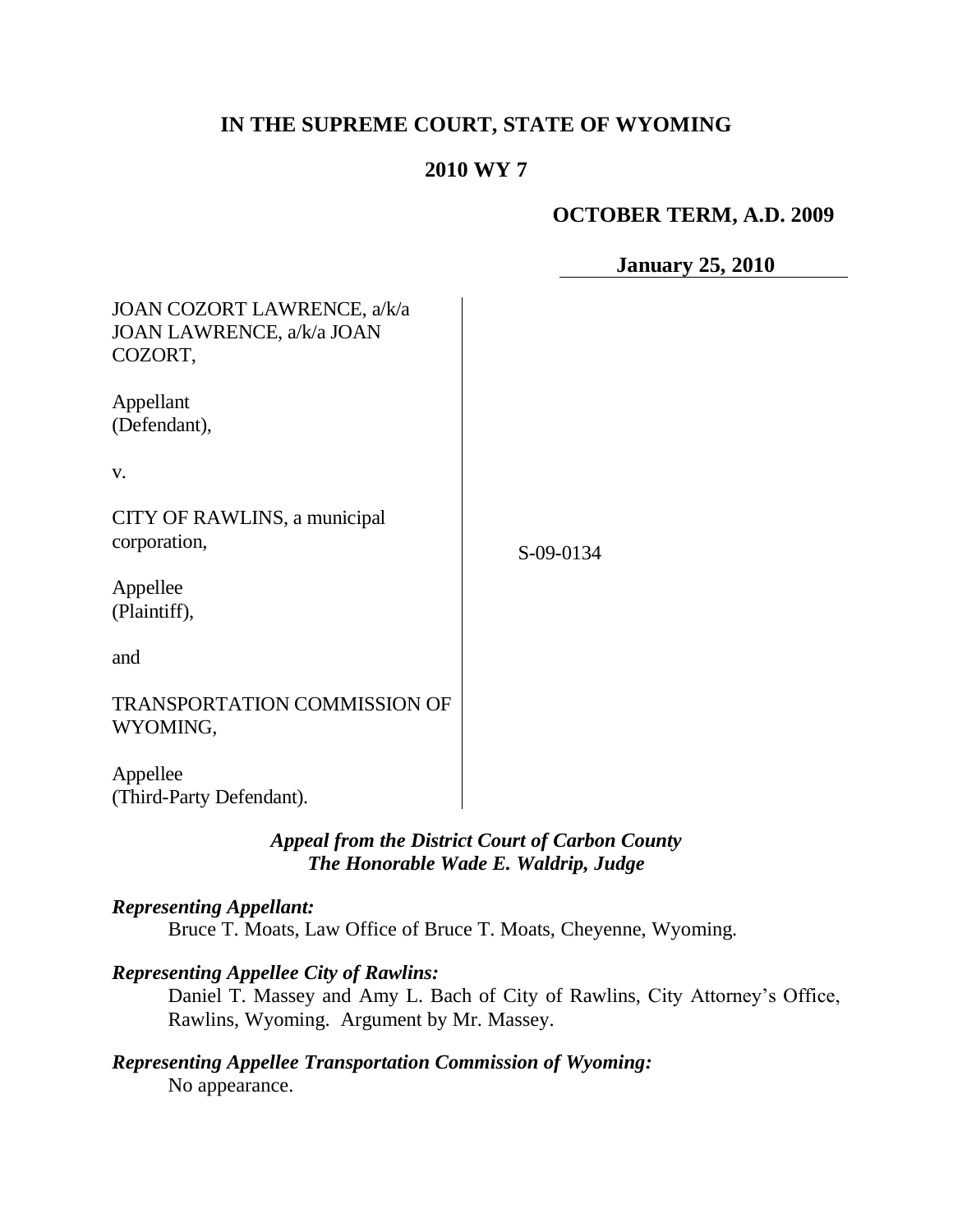# **IN THE SUPREME COURT, STATE OF WYOMING**

## **2010 WY 7**

## **OCTOBER TERM, A.D. 2009**

**January 25, 2010**

| JOAN COZORT LAWRENCE, a/k/a<br>JOAN LAWRENCE, a/k/a JOAN<br>COZORT, |           |
|---------------------------------------------------------------------|-----------|
| Appellant<br>(Defendant),                                           |           |
| V.                                                                  |           |
| CITY OF RAWLINS, a municipal<br>corporation,                        | S-09-0134 |
| Appellee<br>(Plaintiff),                                            |           |
| and                                                                 |           |
| <b>TRANSPORTATION COMMISSION OF</b><br>WYOMING,                     |           |
| Appellee<br>(Third-Party Defendant).                                |           |

# *Appeal from the District Court of Carbon County The Honorable Wade E. Waldrip, Judge*

### *Representing Appellant:*

Bruce T. Moats, Law Office of Bruce T. Moats, Cheyenne, Wyoming.

#### *Representing Appellee City of Rawlins:*

Daniel T. Massey and Amy L. Bach of City of Rawlins, City Attorney's Office, Rawlins, Wyoming. Argument by Mr. Massey.

### *Representing Appellee Transportation Commission of Wyoming:* No appearance.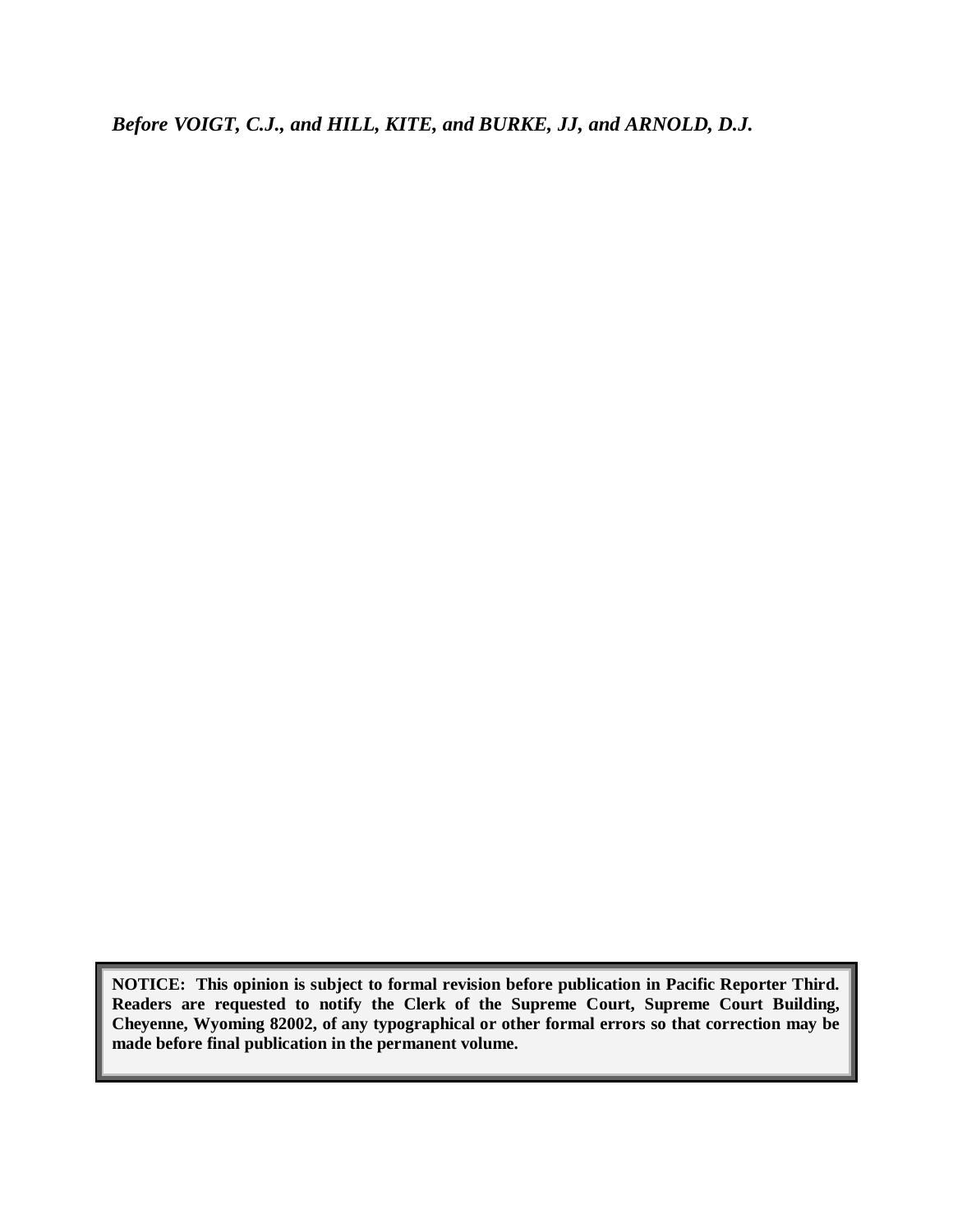*Before VOIGT, C.J., and HILL, KITE, and BURKE, JJ, and ARNOLD, D.J.*

**NOTICE: This opinion is subject to formal revision before publication in Pacific Reporter Third. Readers are requested to notify the Clerk of the Supreme Court, Supreme Court Building, Cheyenne, Wyoming 82002, of any typographical or other formal errors so that correction may be made before final publication in the permanent volume.**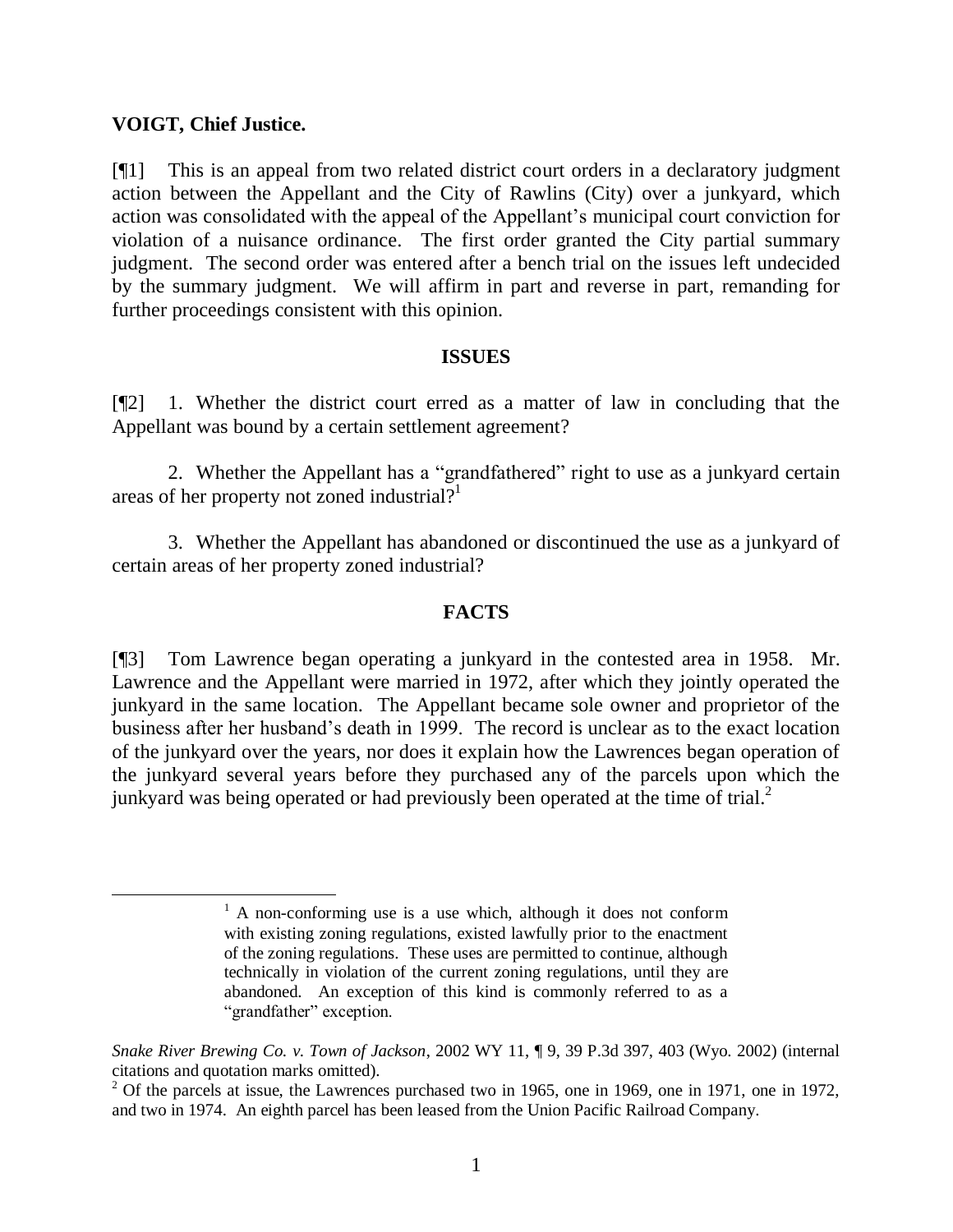#### **VOIGT, Chief Justice.**

[¶1] This is an appeal from two related district court orders in a declaratory judgment action between the Appellant and the City of Rawlins (City) over a junkyard, which action was consolidated with the appeal of the Appellant's municipal court conviction for violation of a nuisance ordinance. The first order granted the City partial summary judgment. The second order was entered after a bench trial on the issues left undecided by the summary judgment. We will affirm in part and reverse in part, remanding for further proceedings consistent with this opinion.

#### **ISSUES**

[¶2] 1. Whether the district court erred as a matter of law in concluding that the Appellant was bound by a certain settlement agreement?

2. Whether the Appellant has a "grandfathered" right to use as a junkyard certain areas of her property not zoned industrial?<sup>1</sup>

3. Whether the Appellant has abandoned or discontinued the use as a junkyard of certain areas of her property zoned industrial?

### **FACTS**

[¶3] Tom Lawrence began operating a junkyard in the contested area in 1958. Mr. Lawrence and the Appellant were married in 1972, after which they jointly operated the junkyard in the same location. The Appellant became sole owner and proprietor of the business after her husband's death in 1999. The record is unclear as to the exact location of the junkyard over the years, nor does it explain how the Lawrences began operation of the junkyard several years before they purchased any of the parcels upon which the junkyard was being operated or had previously been operated at the time of trial.<sup>2</sup>

 $<sup>1</sup>$  A non-conforming use is a use which, although it does not conform</sup> with existing zoning regulations, existed lawfully prior to the enactment of the zoning regulations. These uses are permitted to continue, although technically in violation of the current zoning regulations, until they are abandoned. An exception of this kind is commonly referred to as a "grandfather" exception.

*Snake River Brewing Co. v. Town of Jackson*, 2002 WY 11, ¶ 9, 39 P.3d 397, 403 (Wyo. 2002) (internal citations and quotation marks omitted).

 $^{2}$  Of the parcels at issue, the Lawrences purchased two in 1965, one in 1969, one in 1971, one in 1972, and two in 1974. An eighth parcel has been leased from the Union Pacific Railroad Company.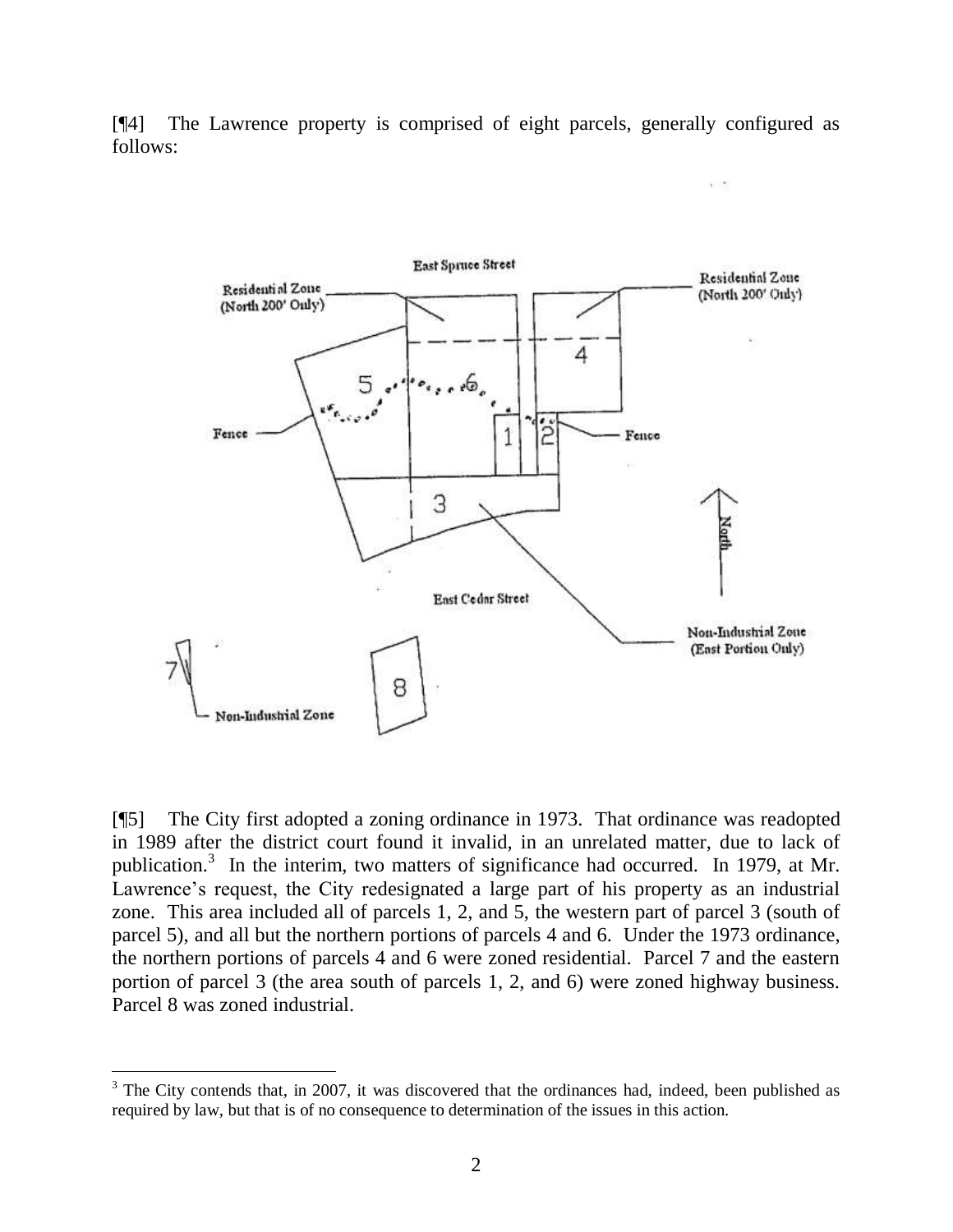[¶4] The Lawrence property is comprised of eight parcels, generally configured as follows:

a Ch



[¶5] The City first adopted a zoning ordinance in 1973. That ordinance was readopted in 1989 after the district court found it invalid, in an unrelated matter, due to lack of publication.<sup>3</sup> In the interim, two matters of significance had occurred. In 1979, at Mr. Lawrence's request, the City redesignated a large part of his property as an industrial zone. This area included all of parcels 1, 2, and 5, the western part of parcel 3 (south of parcel 5), and all but the northern portions of parcels 4 and 6. Under the 1973 ordinance, the northern portions of parcels 4 and 6 were zoned residential. Parcel 7 and the eastern portion of parcel 3 (the area south of parcels 1, 2, and 6) were zoned highway business. Parcel 8 was zoned industrial.

 $3$  The City contends that, in 2007, it was discovered that the ordinances had, indeed, been published as required by law, but that is of no consequence to determination of the issues in this action.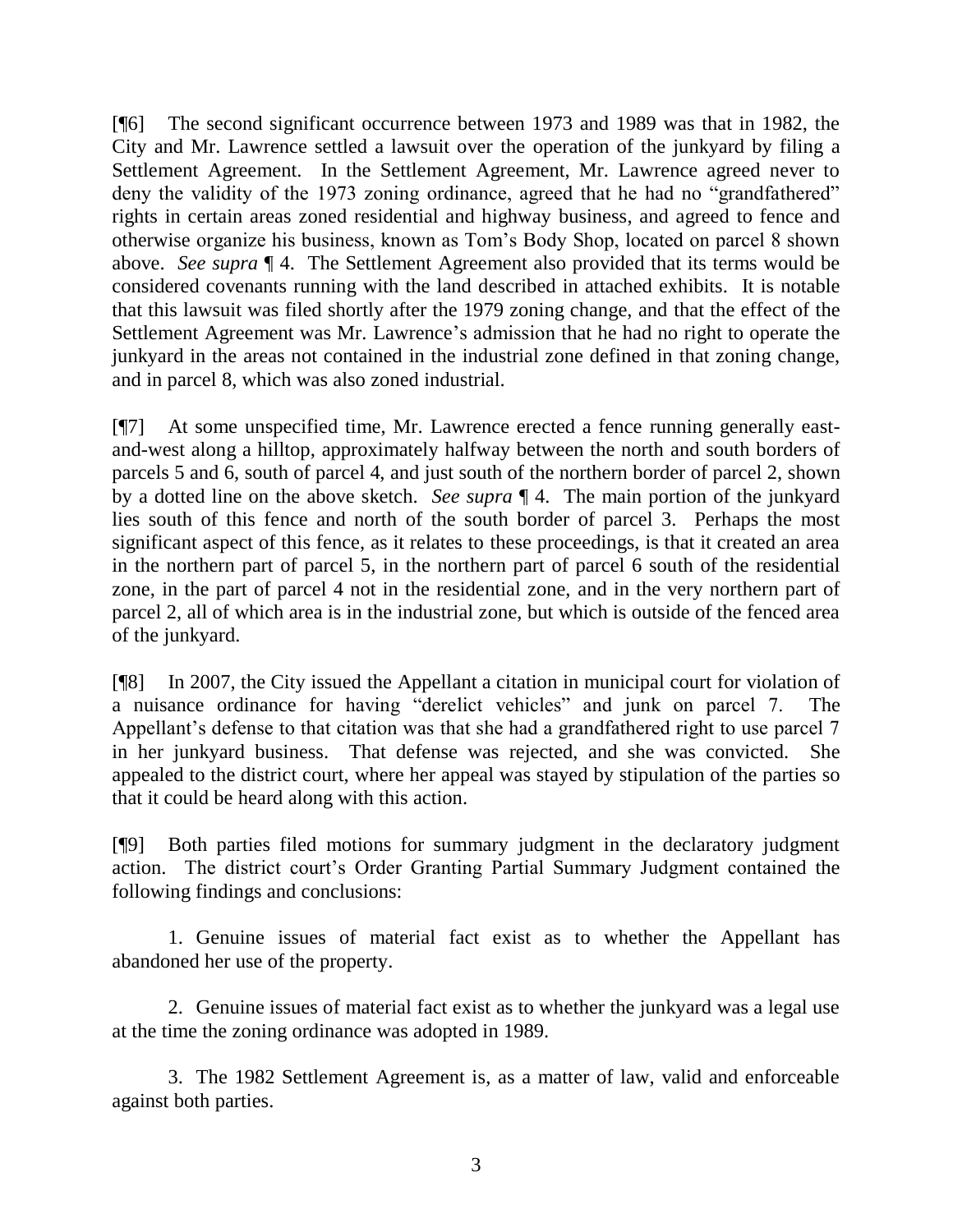[¶6] The second significant occurrence between 1973 and 1989 was that in 1982, the City and Mr. Lawrence settled a lawsuit over the operation of the junkyard by filing a Settlement Agreement. In the Settlement Agreement, Mr. Lawrence agreed never to deny the validity of the 1973 zoning ordinance, agreed that he had no "grandfathered" rights in certain areas zoned residential and highway business, and agreed to fence and otherwise organize his business, known as Tom's Body Shop, located on parcel 8 shown above. *See supra* ¶ 4. The Settlement Agreement also provided that its terms would be considered covenants running with the land described in attached exhibits. It is notable that this lawsuit was filed shortly after the 1979 zoning change, and that the effect of the Settlement Agreement was Mr. Lawrence's admission that he had no right to operate the junkyard in the areas not contained in the industrial zone defined in that zoning change, and in parcel 8, which was also zoned industrial.

[¶7] At some unspecified time, Mr. Lawrence erected a fence running generally eastand-west along a hilltop, approximately halfway between the north and south borders of parcels 5 and 6, south of parcel 4, and just south of the northern border of parcel 2, shown by a dotted line on the above sketch. *See supra* ¶ 4. The main portion of the junkyard lies south of this fence and north of the south border of parcel 3. Perhaps the most significant aspect of this fence, as it relates to these proceedings, is that it created an area in the northern part of parcel 5, in the northern part of parcel 6 south of the residential zone, in the part of parcel 4 not in the residential zone, and in the very northern part of parcel 2, all of which area is in the industrial zone, but which is outside of the fenced area of the junkyard.

[¶8] In 2007, the City issued the Appellant a citation in municipal court for violation of a nuisance ordinance for having "derelict vehicles" and junk on parcel 7. The Appellant's defense to that citation was that she had a grandfathered right to use parcel 7 in her junkyard business. That defense was rejected, and she was convicted. She appealed to the district court, where her appeal was stayed by stipulation of the parties so that it could be heard along with this action.

[¶9] Both parties filed motions for summary judgment in the declaratory judgment action. The district court's Order Granting Partial Summary Judgment contained the following findings and conclusions:

1. Genuine issues of material fact exist as to whether the Appellant has abandoned her use of the property.

2. Genuine issues of material fact exist as to whether the junkyard was a legal use at the time the zoning ordinance was adopted in 1989.

3. The 1982 Settlement Agreement is, as a matter of law, valid and enforceable against both parties.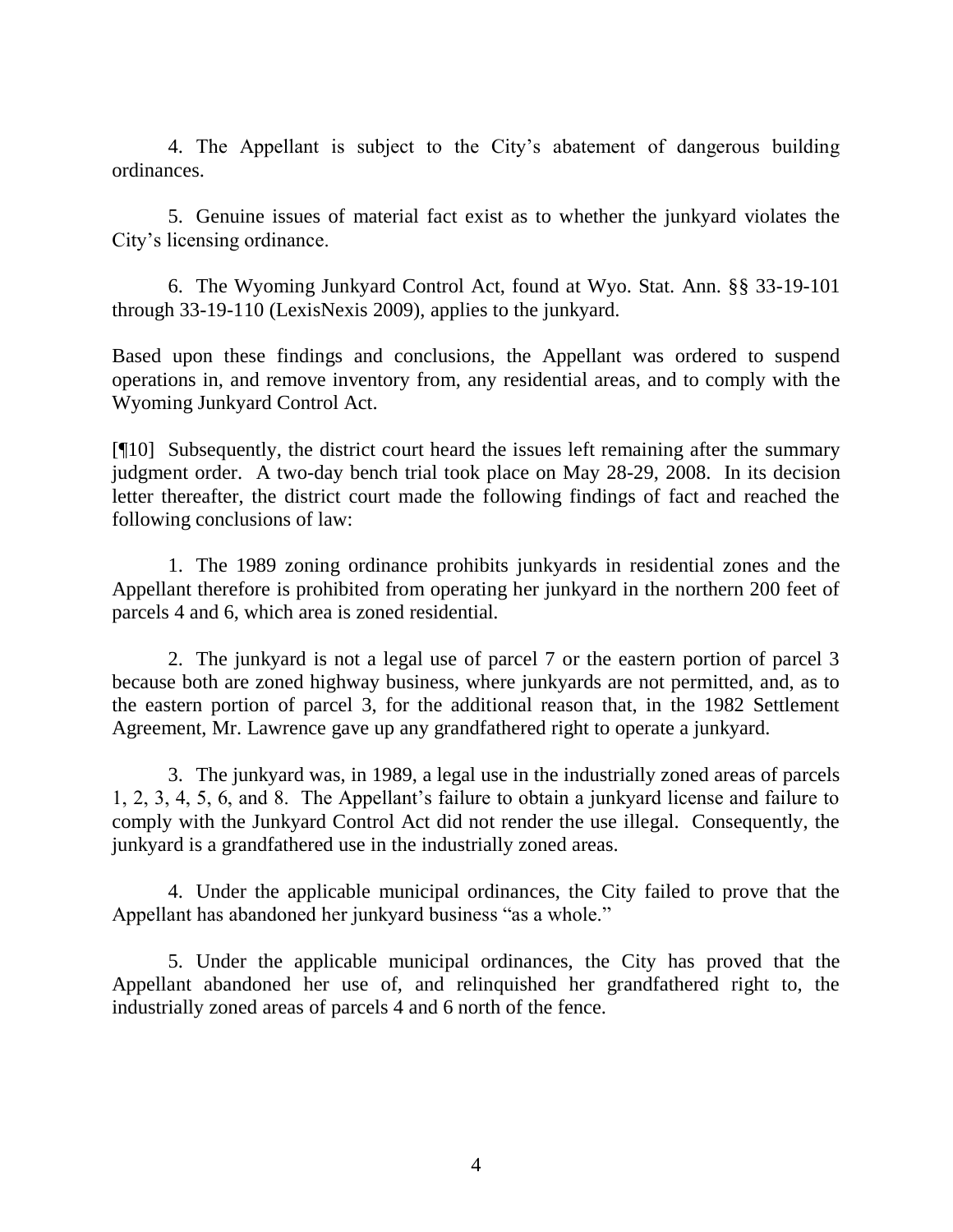4. The Appellant is subject to the City's abatement of dangerous building ordinances.

5. Genuine issues of material fact exist as to whether the junkyard violates the City's licensing ordinance.

6. The Wyoming Junkyard Control Act, found at Wyo. Stat. Ann. §§ 33-19-101 through 33-19-110 (LexisNexis 2009), applies to the junkyard.

Based upon these findings and conclusions, the Appellant was ordered to suspend operations in, and remove inventory from, any residential areas, and to comply with the Wyoming Junkyard Control Act.

[¶10] Subsequently, the district court heard the issues left remaining after the summary judgment order. A two-day bench trial took place on May 28-29, 2008. In its decision letter thereafter, the district court made the following findings of fact and reached the following conclusions of law:

1. The 1989 zoning ordinance prohibits junkyards in residential zones and the Appellant therefore is prohibited from operating her junkyard in the northern 200 feet of parcels 4 and 6, which area is zoned residential.

2. The junkyard is not a legal use of parcel 7 or the eastern portion of parcel 3 because both are zoned highway business, where junkyards are not permitted, and, as to the eastern portion of parcel 3, for the additional reason that, in the 1982 Settlement Agreement, Mr. Lawrence gave up any grandfathered right to operate a junkyard.

3. The junkyard was, in 1989, a legal use in the industrially zoned areas of parcels 1, 2, 3, 4, 5, 6, and 8. The Appellant's failure to obtain a junkyard license and failure to comply with the Junkyard Control Act did not render the use illegal. Consequently, the junkyard is a grandfathered use in the industrially zoned areas.

4. Under the applicable municipal ordinances, the City failed to prove that the Appellant has abandoned her junkyard business "as a whole."

5. Under the applicable municipal ordinances, the City has proved that the Appellant abandoned her use of, and relinquished her grandfathered right to, the industrially zoned areas of parcels 4 and 6 north of the fence.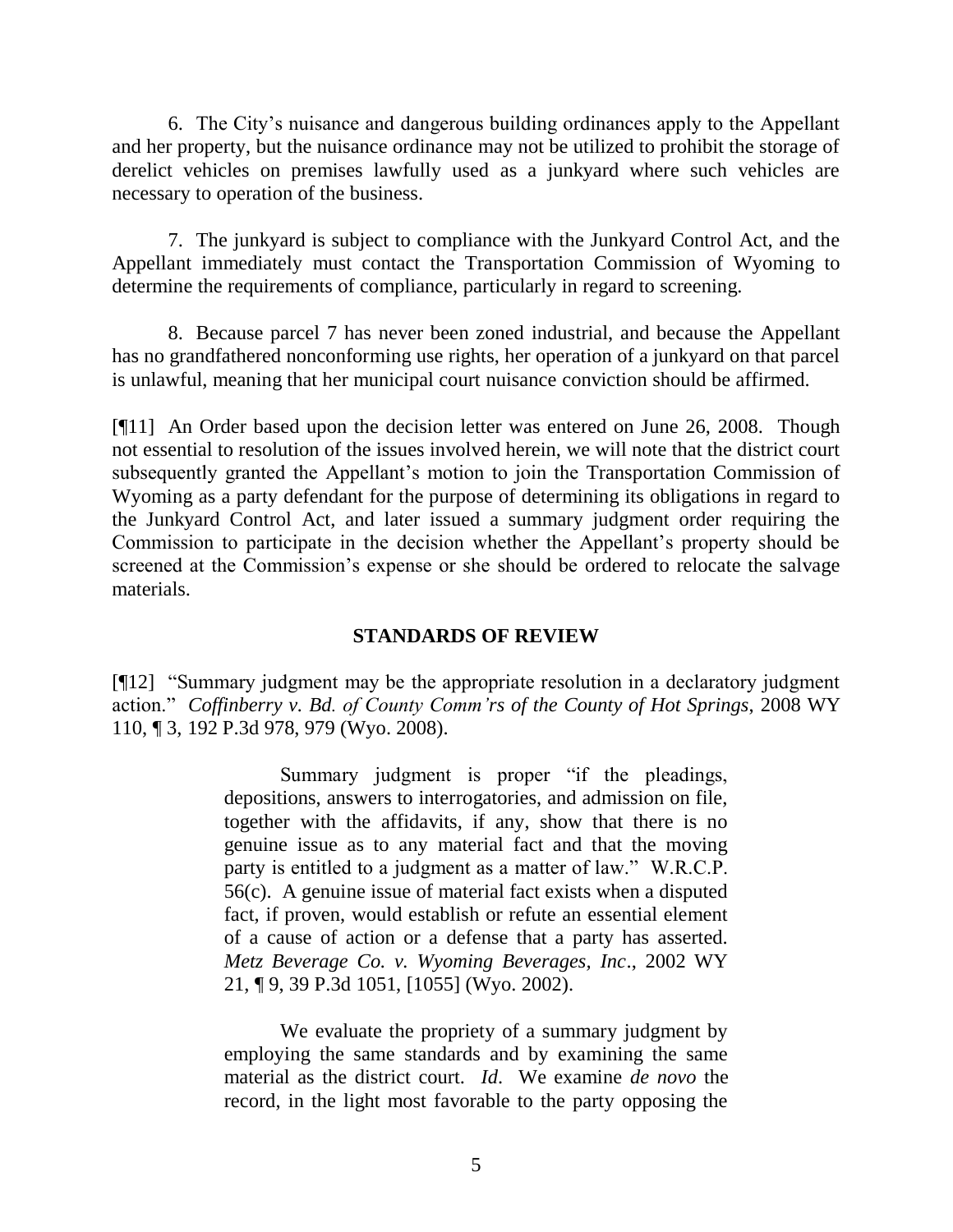6. The City's nuisance and dangerous building ordinances apply to the Appellant and her property, but the nuisance ordinance may not be utilized to prohibit the storage of derelict vehicles on premises lawfully used as a junkyard where such vehicles are necessary to operation of the business.

7. The junkyard is subject to compliance with the Junkyard Control Act, and the Appellant immediately must contact the Transportation Commission of Wyoming to determine the requirements of compliance, particularly in regard to screening.

8. Because parcel 7 has never been zoned industrial, and because the Appellant has no grandfathered nonconforming use rights, her operation of a junkyard on that parcel is unlawful, meaning that her municipal court nuisance conviction should be affirmed.

[¶11] An Order based upon the decision letter was entered on June 26, 2008. Though not essential to resolution of the issues involved herein, we will note that the district court subsequently granted the Appellant's motion to join the Transportation Commission of Wyoming as a party defendant for the purpose of determining its obligations in regard to the Junkyard Control Act, and later issued a summary judgment order requiring the Commission to participate in the decision whether the Appellant's property should be screened at the Commission's expense or she should be ordered to relocate the salvage materials.

## **STANDARDS OF REVIEW**

[¶12] "Summary judgment may be the appropriate resolution in a declaratory judgment action." *Coffinberry v. Bd. of County Comm'rs of the County of Hot Springs*, 2008 WY 110, ¶ 3, 192 P.3d 978, 979 (Wyo. 2008).

> Summary judgment is proper "if the pleadings, depositions, answers to interrogatories, and admission on file, together with the affidavits, if any, show that there is no genuine issue as to any material fact and that the moving party is entitled to a judgment as a matter of law." W.R.C.P. 56(c). A genuine issue of material fact exists when a disputed fact, if proven, would establish or refute an essential element of a cause of action or a defense that a party has asserted. *Metz Beverage Co. v. Wyoming Beverages, Inc*., 2002 WY 21, ¶ 9, 39 P.3d 1051, [1055] (Wyo. 2002).

> We evaluate the propriety of a summary judgment by employing the same standards and by examining the same material as the district court. *Id*. We examine *de novo* the record, in the light most favorable to the party opposing the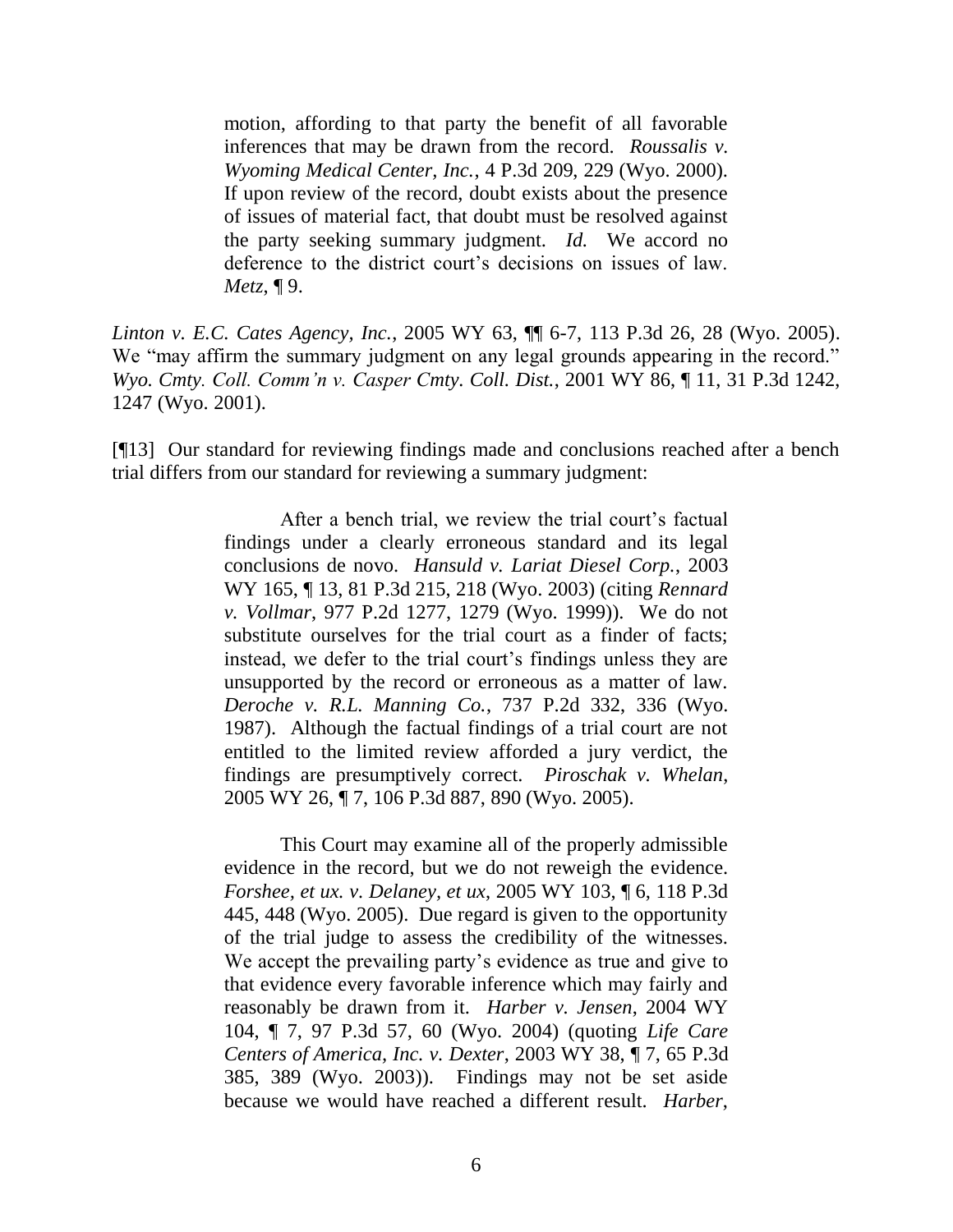motion, affording to that party the benefit of all favorable inferences that may be drawn from the record. *Roussalis v. Wyoming Medical Center, Inc.*, 4 P.3d 209, 229 (Wyo. 2000). If upon review of the record, doubt exists about the presence of issues of material fact, that doubt must be resolved against the party seeking summary judgment. *Id.* We accord no deference to the district court's decisions on issues of law. *Metz*, ¶ 9.

*Linton v. E.C. Cates Agency, Inc.*, 2005 WY 63, ¶¶ 6-7, 113 P.3d 26, 28 (Wyo. 2005). We "may affirm the summary judgment on any legal grounds appearing in the record." *Wyo. Cmty. Coll. Comm'n v. Casper Cmty. Coll. Dist.*, 2001 WY 86, ¶ 11, 31 P.3d 1242, 1247 (Wyo. 2001).

[¶13] Our standard for reviewing findings made and conclusions reached after a bench trial differs from our standard for reviewing a summary judgment:

> After a bench trial, we review the trial court's factual findings under a clearly erroneous standard and its legal conclusions de novo. *Hansuld v. Lariat Diesel Corp.*, 2003 WY 165, ¶ 13, 81 P.3d 215, 218 (Wyo. 2003) (citing *Rennard v. Vollmar*, 977 P.2d 1277, 1279 (Wyo. 1999)). We do not substitute ourselves for the trial court as a finder of facts; instead, we defer to the trial court's findings unless they are unsupported by the record or erroneous as a matter of law. *Deroche v. R.L. Manning Co.*, 737 P.2d 332, 336 (Wyo. 1987). Although the factual findings of a trial court are not entitled to the limited review afforded a jury verdict, the findings are presumptively correct. *Piroschak v. Whelan*, 2005 WY 26, ¶ 7, 106 P.3d 887, 890 (Wyo. 2005).

> This Court may examine all of the properly admissible evidence in the record, but we do not reweigh the evidence. *Forshee, et ux. v. Delaney, et ux*, 2005 WY 103, ¶ 6, 118 P.3d 445, 448 (Wyo. 2005). Due regard is given to the opportunity of the trial judge to assess the credibility of the witnesses. We accept the prevailing party's evidence as true and give to that evidence every favorable inference which may fairly and reasonably be drawn from it. *Harber v. Jensen*, 2004 WY 104, ¶ 7, 97 P.3d 57, 60 (Wyo. 2004) (quoting *Life Care Centers of America, Inc. v. Dexter*, 2003 WY 38, ¶ 7, 65 P.3d 385, 389 (Wyo. 2003)). Findings may not be set aside because we would have reached a different result. *Harber*,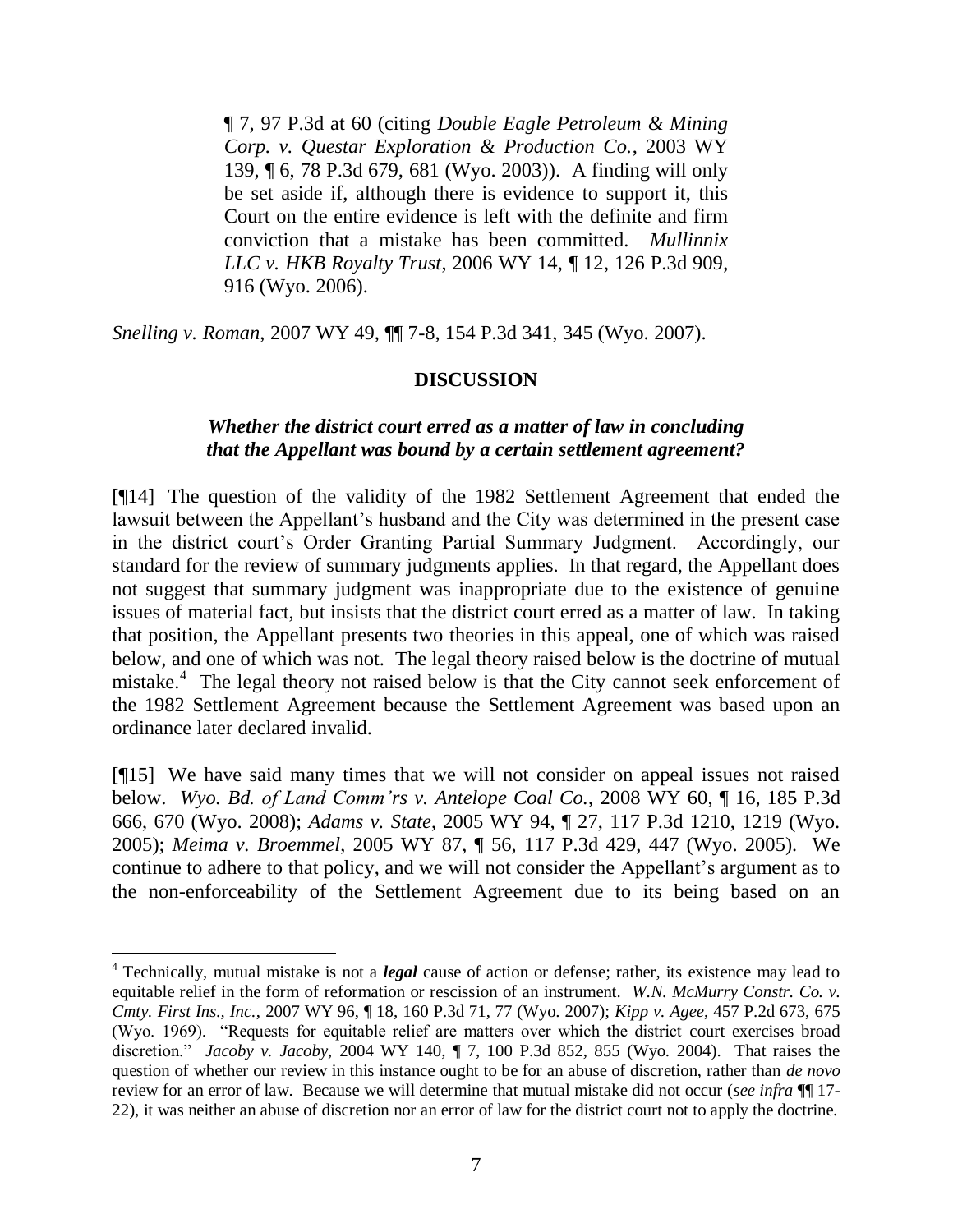¶ 7, 97 P.3d at 60 (citing *Double Eagle Petroleum & Mining Corp. v. Questar Exploration & Production Co.*, 2003 WY 139, ¶ 6, 78 P.3d 679, 681 (Wyo. 2003)). A finding will only be set aside if, although there is evidence to support it, this Court on the entire evidence is left with the definite and firm conviction that a mistake has been committed. *Mullinnix LLC v. HKB Royalty Trust*, 2006 WY 14, ¶ 12, 126 P.3d 909, 916 (Wyo. 2006).

*Snelling v. Roman*, 2007 WY 49, ¶¶ 7-8, 154 P.3d 341, 345 (Wyo. 2007).

## **DISCUSSION**

### *Whether the district court erred as a matter of law in concluding that the Appellant was bound by a certain settlement agreement?*

[¶14] The question of the validity of the 1982 Settlement Agreement that ended the lawsuit between the Appellant's husband and the City was determined in the present case in the district court's Order Granting Partial Summary Judgment. Accordingly, our standard for the review of summary judgments applies. In that regard, the Appellant does not suggest that summary judgment was inappropriate due to the existence of genuine issues of material fact, but insists that the district court erred as a matter of law. In taking that position, the Appellant presents two theories in this appeal, one of which was raised below, and one of which was not. The legal theory raised below is the doctrine of mutual mistake.<sup>4</sup> The legal theory not raised below is that the City cannot seek enforcement of the 1982 Settlement Agreement because the Settlement Agreement was based upon an ordinance later declared invalid.

[¶15] We have said many times that we will not consider on appeal issues not raised below. *Wyo. Bd. of Land Comm'rs v. Antelope Coal Co.*, 2008 WY 60, ¶ 16, 185 P.3d 666, 670 (Wyo. 2008); *Adams v. State*, 2005 WY 94, ¶ 27, 117 P.3d 1210, 1219 (Wyo. 2005); *Meima v. Broemmel*, 2005 WY 87, ¶ 56, 117 P.3d 429, 447 (Wyo. 2005). We continue to adhere to that policy, and we will not consider the Appellant's argument as to the non-enforceability of the Settlement Agreement due to its being based on an

<sup>4</sup> Technically, mutual mistake is not a *legal* cause of action or defense; rather, its existence may lead to equitable relief in the form of reformation or rescission of an instrument. *W.N. McMurry Constr. Co. v. Cmty. First Ins., Inc.*, 2007 WY 96, ¶ 18, 160 P.3d 71, 77 (Wyo. 2007); *Kipp v. Agee*, 457 P.2d 673, 675 (Wyo. 1969). "Requests for equitable relief are matters over which the district court exercises broad discretion." *Jacoby v. Jacoby*, 2004 WY 140, ¶ 7, 100 P.3d 852, 855 (Wyo. 2004). That raises the question of whether our review in this instance ought to be for an abuse of discretion, rather than *de novo*  review for an error of law. Because we will determine that mutual mistake did not occur (*see infra* ¶¶ 17- 22), it was neither an abuse of discretion nor an error of law for the district court not to apply the doctrine.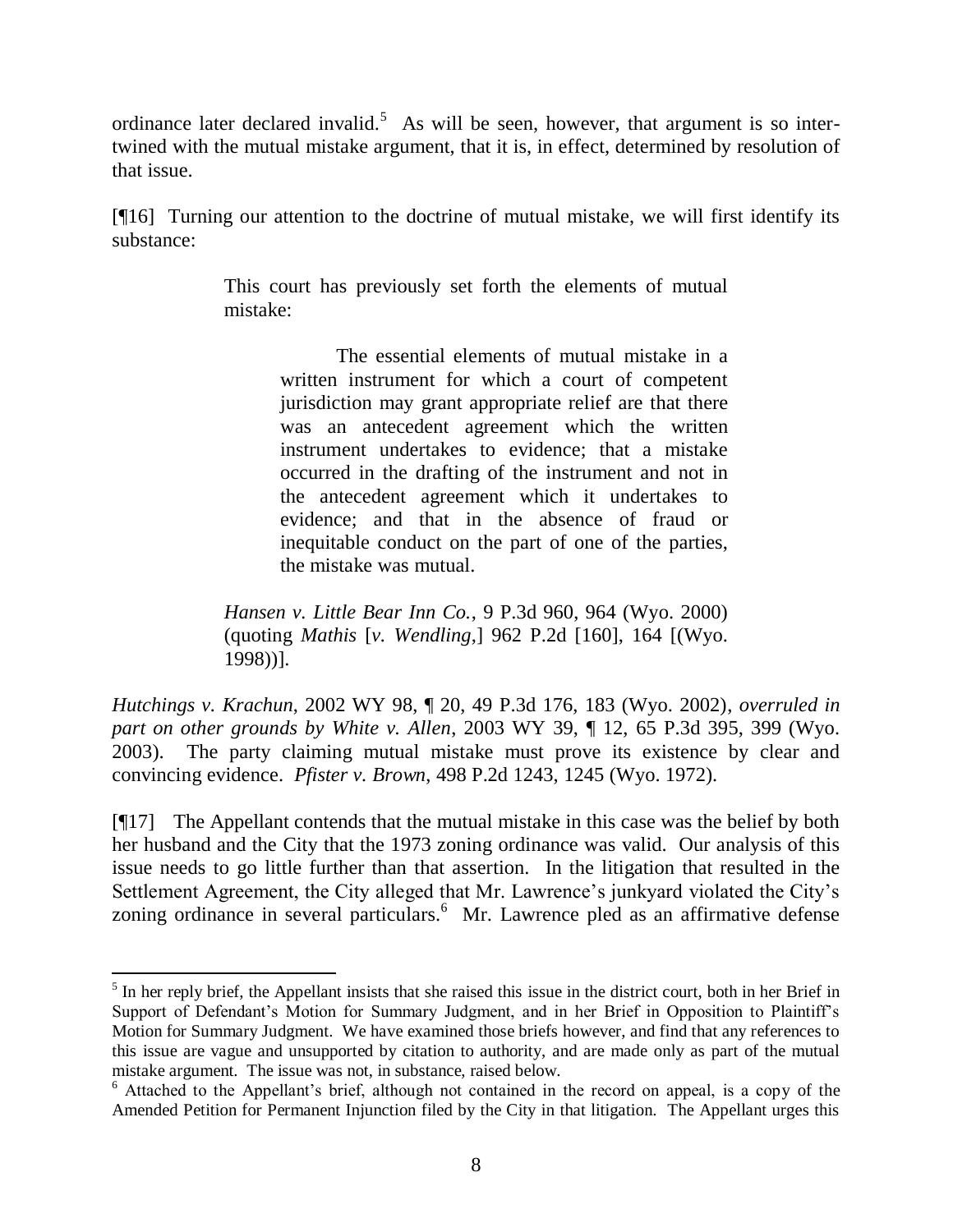ordinance later declared invalid.<sup>5</sup> As will be seen, however, that argument is so intertwined with the mutual mistake argument, that it is, in effect, determined by resolution of that issue.

[¶16] Turning our attention to the doctrine of mutual mistake, we will first identify its substance:

> This court has previously set forth the elements of mutual mistake:

> > The essential elements of mutual mistake in a written instrument for which a court of competent jurisdiction may grant appropriate relief are that there was an antecedent agreement which the written instrument undertakes to evidence; that a mistake occurred in the drafting of the instrument and not in the antecedent agreement which it undertakes to evidence; and that in the absence of fraud or inequitable conduct on the part of one of the parties, the mistake was mutual.

*Hansen v. Little Bear Inn Co.*, 9 P.3d 960, 964 (Wyo. 2000) (quoting *Mathis* [*v. Wendling*,] 962 P.2d [160], 164 [(Wyo. 1998))].

*Hutchings v. Krachun*, 2002 WY 98, ¶ 20, 49 P.3d 176, 183 (Wyo. 2002), *overruled in part on other grounds by White v. Allen*, 2003 WY 39, ¶ 12, 65 P.3d 395, 399 (Wyo. 2003). The party claiming mutual mistake must prove its existence by clear and convincing evidence. *Pfister v. Brown*, 498 P.2d 1243, 1245 (Wyo. 1972).

[¶17] The Appellant contends that the mutual mistake in this case was the belief by both her husband and the City that the 1973 zoning ordinance was valid. Our analysis of this issue needs to go little further than that assertion. In the litigation that resulted in the Settlement Agreement, the City alleged that Mr. Lawrence's junkyard violated the City's zoning ordinance in several particulars.<sup>6</sup> Mr. Lawrence pled as an affirmative defense

 $<sup>5</sup>$  In her reply brief, the Appellant insists that she raised this issue in the district court, both in her Brief in</sup> Support of Defendant's Motion for Summary Judgment, and in her Brief in Opposition to Plaintiff's Motion for Summary Judgment. We have examined those briefs however, and find that any references to this issue are vague and unsupported by citation to authority, and are made only as part of the mutual mistake argument. The issue was not, in substance, raised below.

<sup>&</sup>lt;sup>6</sup> Attached to the Appellant's brief, although not contained in the record on appeal, is a copy of the Amended Petition for Permanent Injunction filed by the City in that litigation. The Appellant urges this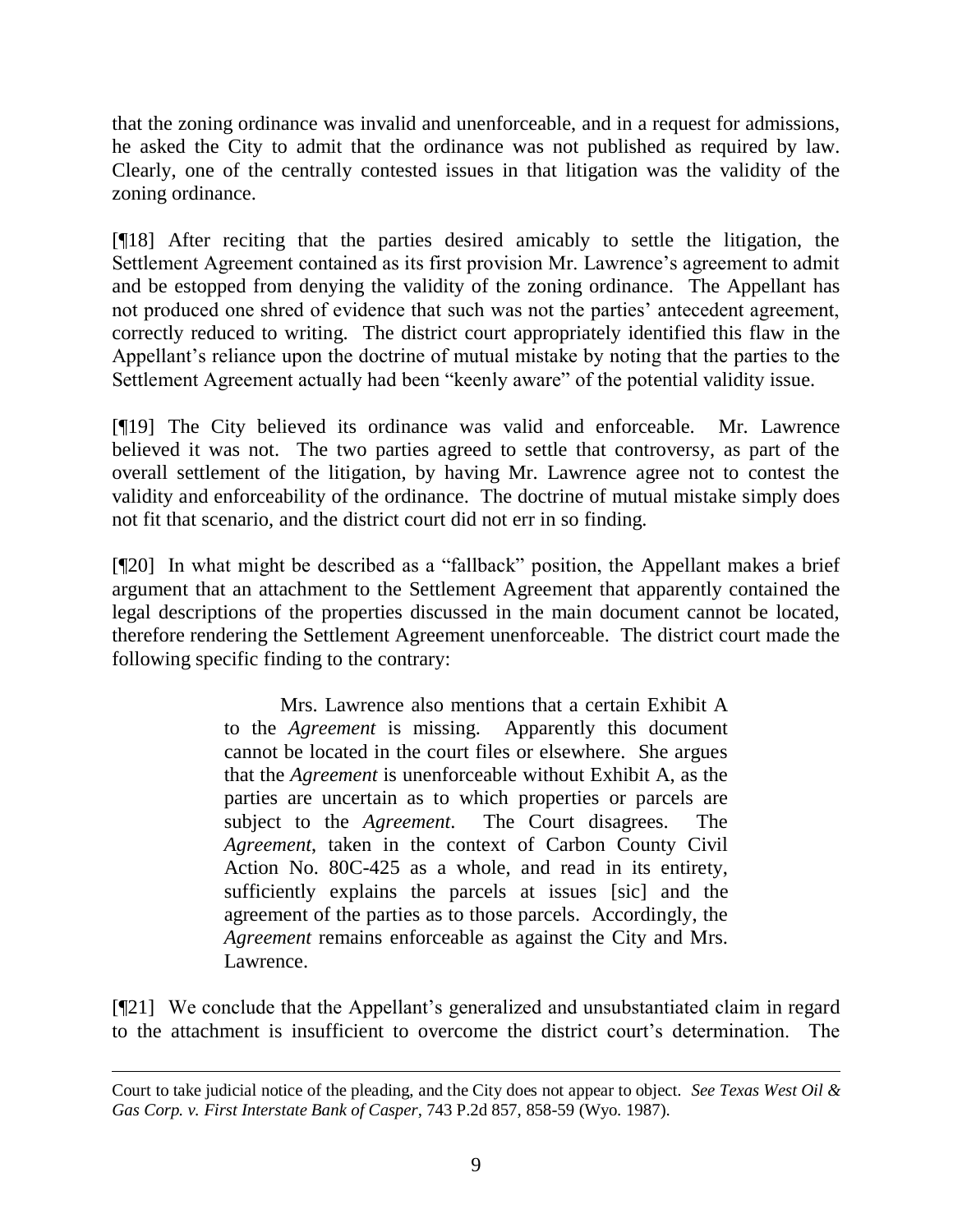that the zoning ordinance was invalid and unenforceable, and in a request for admissions, he asked the City to admit that the ordinance was not published as required by law. Clearly, one of the centrally contested issues in that litigation was the validity of the zoning ordinance.

[¶18] After reciting that the parties desired amicably to settle the litigation, the Settlement Agreement contained as its first provision Mr. Lawrence's agreement to admit and be estopped from denying the validity of the zoning ordinance. The Appellant has not produced one shred of evidence that such was not the parties' antecedent agreement, correctly reduced to writing. The district court appropriately identified this flaw in the Appellant's reliance upon the doctrine of mutual mistake by noting that the parties to the Settlement Agreement actually had been "keenly aware" of the potential validity issue.

[¶19] The City believed its ordinance was valid and enforceable. Mr. Lawrence believed it was not. The two parties agreed to settle that controversy, as part of the overall settlement of the litigation, by having Mr. Lawrence agree not to contest the validity and enforceability of the ordinance. The doctrine of mutual mistake simply does not fit that scenario, and the district court did not err in so finding.

[¶20] In what might be described as a "fallback" position, the Appellant makes a brief argument that an attachment to the Settlement Agreement that apparently contained the legal descriptions of the properties discussed in the main document cannot be located, therefore rendering the Settlement Agreement unenforceable. The district court made the following specific finding to the contrary:

> Mrs. Lawrence also mentions that a certain Exhibit A to the *Agreement* is missing. Apparently this document cannot be located in the court files or elsewhere. She argues that the *Agreement* is unenforceable without Exhibit A, as the parties are uncertain as to which properties or parcels are subject to the *Agreement*. The Court disagrees. The *Agreement*, taken in the context of Carbon County Civil Action No. 80C-425 as a whole, and read in its entirety, sufficiently explains the parcels at issues [sic] and the agreement of the parties as to those parcels. Accordingly, the *Agreement* remains enforceable as against the City and Mrs. Lawrence.

[¶21] We conclude that the Appellant's generalized and unsubstantiated claim in regard to the attachment is insufficient to overcome the district court's determination. The

Court to take judicial notice of the pleading, and the City does not appear to object. *See Texas West Oil & Gas Corp. v. First Interstate Bank of Casper*, 743 P.2d 857, 858-59 (Wyo. 1987).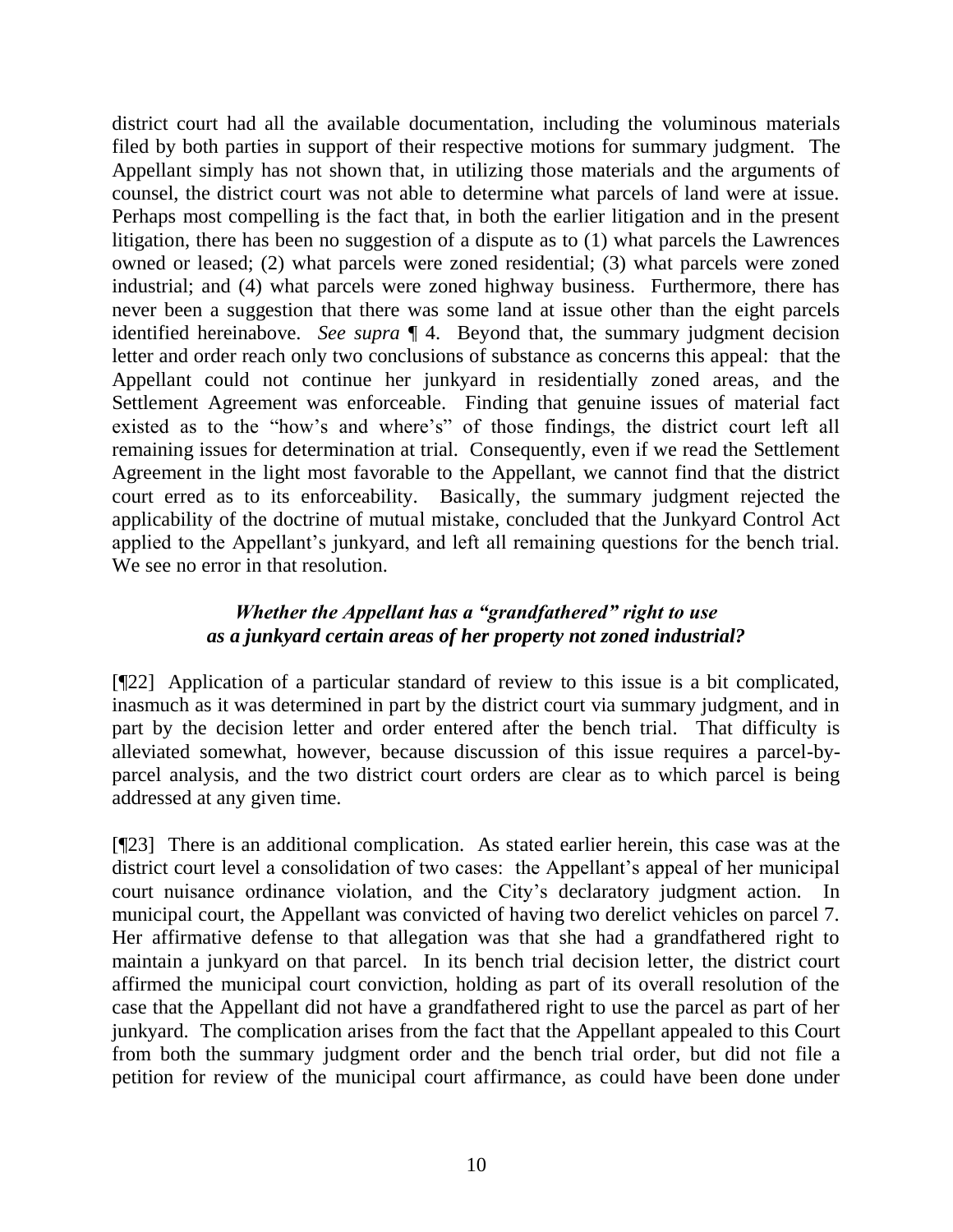district court had all the available documentation, including the voluminous materials filed by both parties in support of their respective motions for summary judgment. The Appellant simply has not shown that, in utilizing those materials and the arguments of counsel, the district court was not able to determine what parcels of land were at issue. Perhaps most compelling is the fact that, in both the earlier litigation and in the present litigation, there has been no suggestion of a dispute as to (1) what parcels the Lawrences owned or leased; (2) what parcels were zoned residential; (3) what parcels were zoned industrial; and (4) what parcels were zoned highway business. Furthermore, there has never been a suggestion that there was some land at issue other than the eight parcels identified hereinabove. *See supra* ¶ 4. Beyond that, the summary judgment decision letter and order reach only two conclusions of substance as concerns this appeal: that the Appellant could not continue her junkyard in residentially zoned areas, and the Settlement Agreement was enforceable. Finding that genuine issues of material fact existed as to the "how's and where's" of those findings, the district court left all remaining issues for determination at trial. Consequently, even if we read the Settlement Agreement in the light most favorable to the Appellant, we cannot find that the district court erred as to its enforceability. Basically, the summary judgment rejected the applicability of the doctrine of mutual mistake, concluded that the Junkyard Control Act applied to the Appellant's junkyard, and left all remaining questions for the bench trial. We see no error in that resolution.

# *Whether the Appellant has a "grandfathered" right to use as a junkyard certain areas of her property not zoned industrial?*

[¶22] Application of a particular standard of review to this issue is a bit complicated, inasmuch as it was determined in part by the district court via summary judgment, and in part by the decision letter and order entered after the bench trial. That difficulty is alleviated somewhat, however, because discussion of this issue requires a parcel-byparcel analysis, and the two district court orders are clear as to which parcel is being addressed at any given time.

[¶23] There is an additional complication. As stated earlier herein, this case was at the district court level a consolidation of two cases: the Appellant's appeal of her municipal court nuisance ordinance violation, and the City's declaratory judgment action. In municipal court, the Appellant was convicted of having two derelict vehicles on parcel 7. Her affirmative defense to that allegation was that she had a grandfathered right to maintain a junkyard on that parcel. In its bench trial decision letter, the district court affirmed the municipal court conviction, holding as part of its overall resolution of the case that the Appellant did not have a grandfathered right to use the parcel as part of her junkyard. The complication arises from the fact that the Appellant appealed to this Court from both the summary judgment order and the bench trial order, but did not file a petition for review of the municipal court affirmance, as could have been done under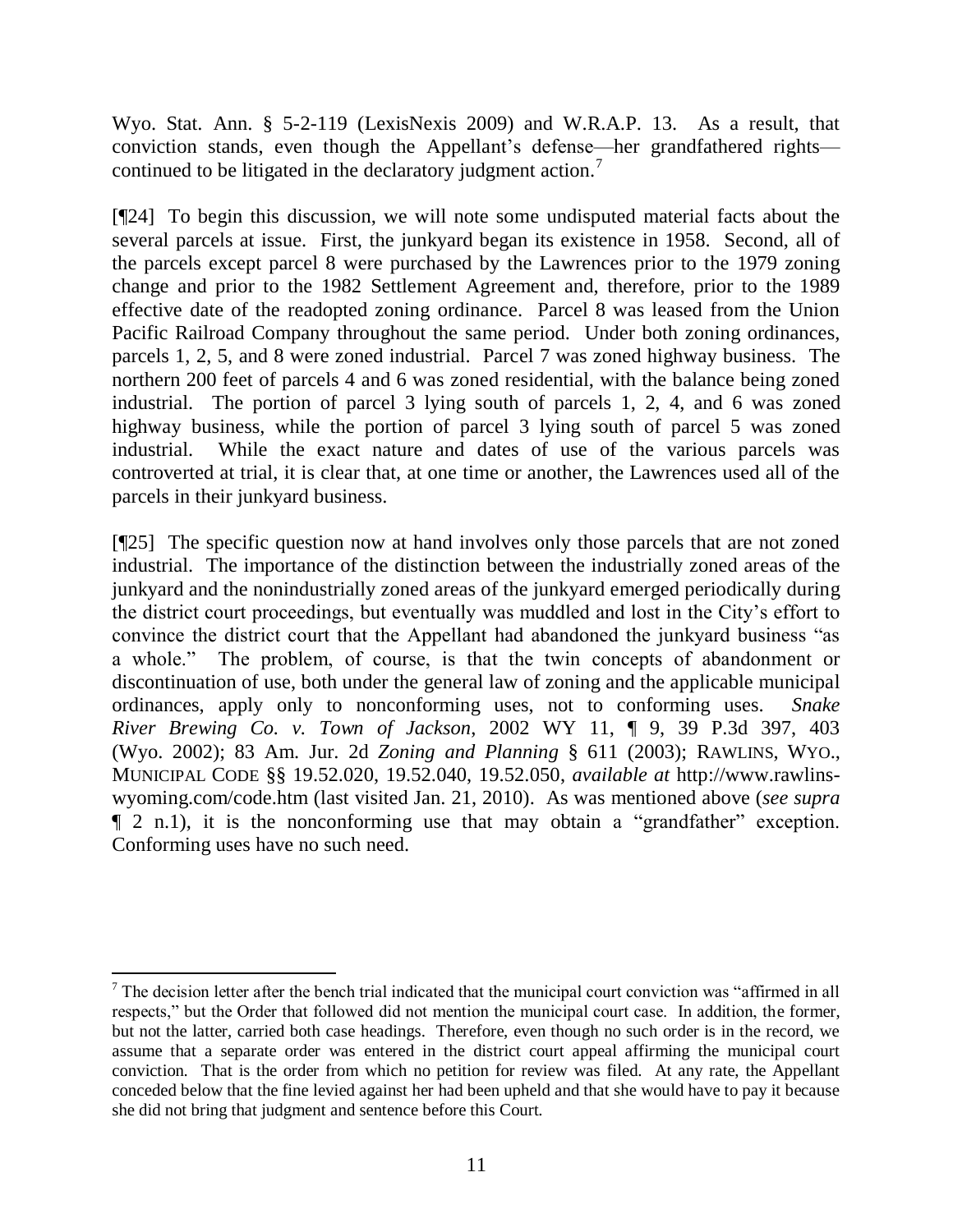Wyo. Stat. Ann. § 5-2-119 (LexisNexis 2009) and W.R.A.P. 13. As a result, that conviction stands, even though the Appellant's defense—her grandfathered rights continued to be litigated in the declaratory judgment action.<sup>7</sup>

[¶24] To begin this discussion, we will note some undisputed material facts about the several parcels at issue. First, the junkyard began its existence in 1958. Second, all of the parcels except parcel 8 were purchased by the Lawrences prior to the 1979 zoning change and prior to the 1982 Settlement Agreement and, therefore, prior to the 1989 effective date of the readopted zoning ordinance. Parcel 8 was leased from the Union Pacific Railroad Company throughout the same period. Under both zoning ordinances, parcels 1, 2, 5, and 8 were zoned industrial. Parcel 7 was zoned highway business. The northern 200 feet of parcels 4 and 6 was zoned residential, with the balance being zoned industrial. The portion of parcel 3 lying south of parcels 1, 2, 4, and 6 was zoned highway business, while the portion of parcel 3 lying south of parcel 5 was zoned industrial. While the exact nature and dates of use of the various parcels was controverted at trial, it is clear that, at one time or another, the Lawrences used all of the parcels in their junkyard business.

[¶25] The specific question now at hand involves only those parcels that are not zoned industrial. The importance of the distinction between the industrially zoned areas of the junkyard and the nonindustrially zoned areas of the junkyard emerged periodically during the district court proceedings, but eventually was muddled and lost in the City's effort to convince the district court that the Appellant had abandoned the junkyard business "as a whole." The problem, of course, is that the twin concepts of abandonment or discontinuation of use, both under the general law of zoning and the applicable municipal ordinances, apply only to nonconforming uses, not to conforming uses. *Snake River Brewing Co. v. Town of Jackson*, 2002 WY 11, ¶ 9, 39 P.3d 397, 403 (Wyo. 2002); 83 Am. Jur. 2d *Zoning and Planning* § 611 (2003); RAWLINS, WYO., MUNICIPAL CODE §§ 19.52.020, 19.52.040, 19.52.050, *available at* http://www.rawlinswyoming.com/code.htm (last visited Jan. 21, 2010). As was mentioned above (*see supra* ¶ 2 n.1), it is the nonconforming use that may obtain a "grandfather" exception. Conforming uses have no such need.

 <sup>7</sup> The decision letter after the bench trial indicated that the municipal court conviction was "affirmed in all respects," but the Order that followed did not mention the municipal court case. In addition, the former, but not the latter, carried both case headings. Therefore, even though no such order is in the record, we assume that a separate order was entered in the district court appeal affirming the municipal court conviction. That is the order from which no petition for review was filed. At any rate, the Appellant conceded below that the fine levied against her had been upheld and that she would have to pay it because she did not bring that judgment and sentence before this Court.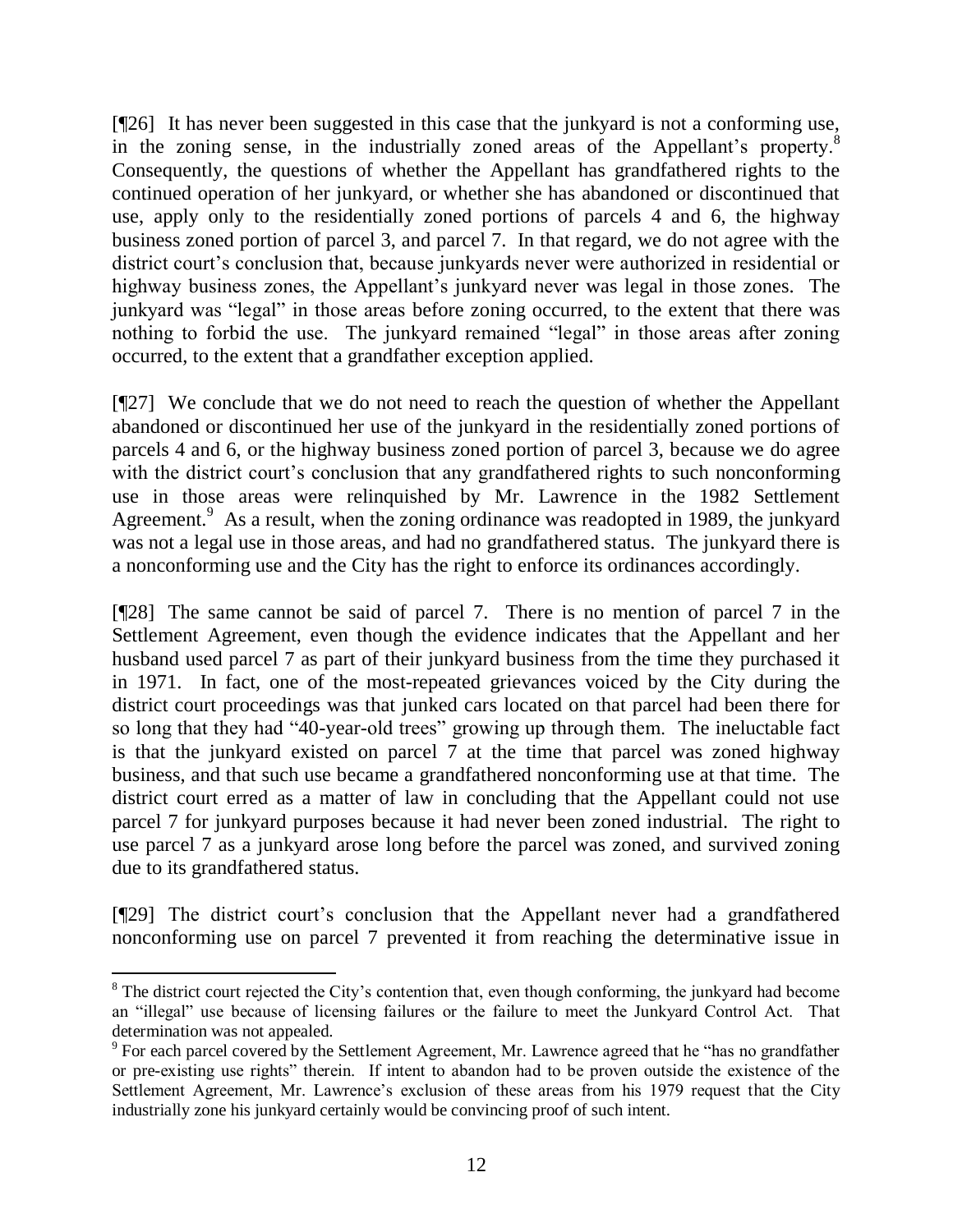[¶26] It has never been suggested in this case that the junkyard is not a conforming use, in the zoning sense, in the industrially zoned areas of the Appellant's property.<sup>8</sup> Consequently, the questions of whether the Appellant has grandfathered rights to the continued operation of her junkyard, or whether she has abandoned or discontinued that use, apply only to the residentially zoned portions of parcels 4 and 6, the highway business zoned portion of parcel 3, and parcel 7. In that regard, we do not agree with the district court's conclusion that, because junkyards never were authorized in residential or highway business zones, the Appellant's junkyard never was legal in those zones. The junkyard was "legal" in those areas before zoning occurred, to the extent that there was nothing to forbid the use. The junkyard remained "legal" in those areas after zoning occurred, to the extent that a grandfather exception applied.

[¶27] We conclude that we do not need to reach the question of whether the Appellant abandoned or discontinued her use of the junkyard in the residentially zoned portions of parcels 4 and 6, or the highway business zoned portion of parcel 3, because we do agree with the district court's conclusion that any grandfathered rights to such nonconforming use in those areas were relinquished by Mr. Lawrence in the 1982 Settlement Agreement.<sup>9</sup> As a result, when the zoning ordinance was readopted in 1989, the junkyard was not a legal use in those areas, and had no grandfathered status. The junkyard there is a nonconforming use and the City has the right to enforce its ordinances accordingly.

[¶28] The same cannot be said of parcel 7. There is no mention of parcel 7 in the Settlement Agreement, even though the evidence indicates that the Appellant and her husband used parcel 7 as part of their junkyard business from the time they purchased it in 1971. In fact, one of the most-repeated grievances voiced by the City during the district court proceedings was that junked cars located on that parcel had been there for so long that they had "40-year-old trees" growing up through them. The ineluctable fact is that the junkyard existed on parcel 7 at the time that parcel was zoned highway business, and that such use became a grandfathered nonconforming use at that time. The district court erred as a matter of law in concluding that the Appellant could not use parcel 7 for junkyard purposes because it had never been zoned industrial. The right to use parcel 7 as a junkyard arose long before the parcel was zoned, and survived zoning due to its grandfathered status.

[¶29] The district court's conclusion that the Appellant never had a grandfathered nonconforming use on parcel 7 prevented it from reaching the determinative issue in

<sup>&</sup>lt;sup>8</sup> The district court rejected the City's contention that, even though conforming, the junkyard had become an "illegal" use because of licensing failures or the failure to meet the Junkyard Control Act. That determination was not appealed.

<sup>&</sup>lt;sup>9</sup> For each parcel covered by the Settlement Agreement, Mr. Lawrence agreed that he "has no grandfather or pre-existing use rights" therein. If intent to abandon had to be proven outside the existence of the Settlement Agreement, Mr. Lawrence's exclusion of these areas from his 1979 request that the City industrially zone his junkyard certainly would be convincing proof of such intent.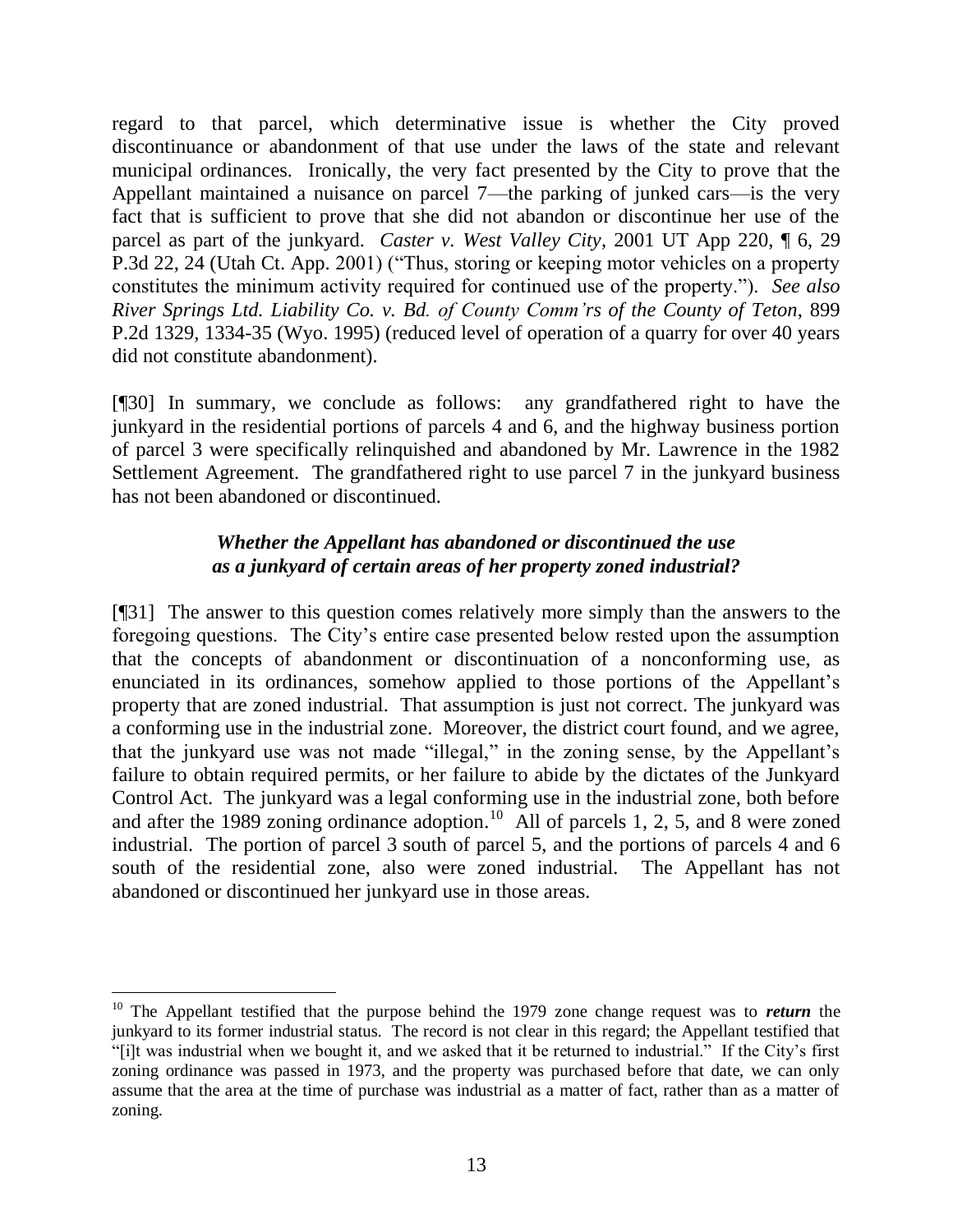regard to that parcel, which determinative issue is whether the City proved discontinuance or abandonment of that use under the laws of the state and relevant municipal ordinances. Ironically, the very fact presented by the City to prove that the Appellant maintained a nuisance on parcel 7—the parking of junked cars—is the very fact that is sufficient to prove that she did not abandon or discontinue her use of the parcel as part of the junkyard. *Caster v. West Valley City*, 2001 UT App 220, ¶ 6, 29 P.3d 22, 24 (Utah Ct. App. 2001) ("Thus, storing or keeping motor vehicles on a property constitutes the minimum activity required for continued use of the property."). *See also River Springs Ltd. Liability Co. v. Bd. of County Comm'rs of the County of Teton*, 899 P.2d 1329, 1334-35 (Wyo. 1995) (reduced level of operation of a quarry for over 40 years did not constitute abandonment).

[¶30] In summary, we conclude as follows: any grandfathered right to have the junkyard in the residential portions of parcels 4 and 6, and the highway business portion of parcel 3 were specifically relinquished and abandoned by Mr. Lawrence in the 1982 Settlement Agreement. The grandfathered right to use parcel 7 in the junkyard business has not been abandoned or discontinued.

## *Whether the Appellant has abandoned or discontinued the use as a junkyard of certain areas of her property zoned industrial?*

[¶31] The answer to this question comes relatively more simply than the answers to the foregoing questions. The City's entire case presented below rested upon the assumption that the concepts of abandonment or discontinuation of a nonconforming use, as enunciated in its ordinances, somehow applied to those portions of the Appellant's property that are zoned industrial. That assumption is just not correct. The junkyard was a conforming use in the industrial zone. Moreover, the district court found, and we agree, that the junkyard use was not made "illegal," in the zoning sense, by the Appellant's failure to obtain required permits, or her failure to abide by the dictates of the Junkyard Control Act. The junkyard was a legal conforming use in the industrial zone, both before and after the 1989 zoning ordinance adoption.<sup>10</sup> All of parcels 1, 2, 5, and 8 were zoned industrial. The portion of parcel 3 south of parcel 5, and the portions of parcels 4 and 6 south of the residential zone, also were zoned industrial. The Appellant has not abandoned or discontinued her junkyard use in those areas.

<sup>10</sup> The Appellant testified that the purpose behind the 1979 zone change request was to *return* the junkyard to its former industrial status. The record is not clear in this regard; the Appellant testified that "[i]t was industrial when we bought it, and we asked that it be returned to industrial." If the City's first zoning ordinance was passed in 1973, and the property was purchased before that date, we can only assume that the area at the time of purchase was industrial as a matter of fact, rather than as a matter of zoning.